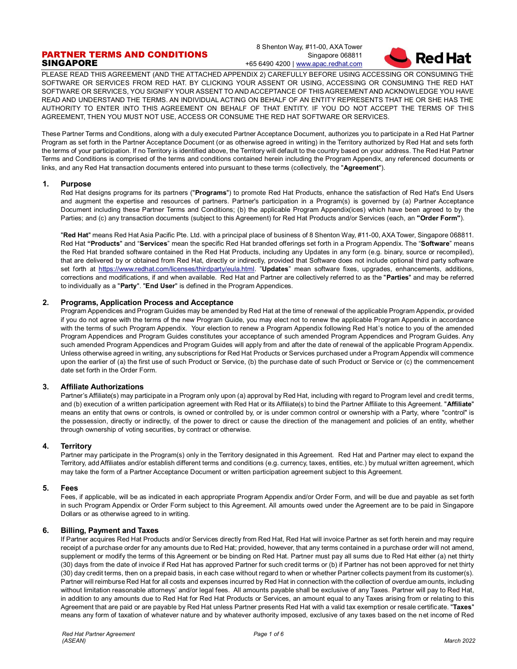# PARTNER TERMS AND CONDITIONS SINGAPORE

8 Shenton Way, #11-00, AXA Tower Singapore 068811 +65 6490 4200 [| www.apac.redhat.com](http://www.redhat.com/)



PLEASE READ THIS AGREEMENT (AND THE ATTACHED APPENDIX 2) CAREFULLY BEFORE USING ACCESSING OR CONSUMING THE SOFTWARE OR SERVICES FROM RED HAT. BY CLICKING YOUR ASSENT OR USING, ACCESSING OR CONSUMING THE RED HAT SOFTWARE OR SERVICES, YOU SIGNIFY YOUR ASSENT TO AND ACCEPTANCE OF THIS AGREEMENT AND ACKNOWLEDGE YOU HAVE READ AND UNDERSTAND THE TERMS. AN INDIVIDUAL ACTING ON BEHALF OF AN ENTITY REPRESENTS THAT HE OR SHE HAS THE AUTHORITY TO ENTER INTO THIS AGREEMENT ON BEHALF OF THAT ENTITY. IF YOU DO NOT ACCEPT THE TERMS OF THIS AGREEMENT, THEN YOU MUST NOT USE, ACCESS OR CONSUME THE RED HAT SOFTWARE OR SERVICES.

These Partner Terms and Conditions, along with a duly executed Partner Acceptance Document, authorizes you to participate in a Red Hat Partner Program as set forth in the Partner Acceptance Document (or as otherwise agreed in writing) in the Territory authorized by Red Hat and sets forth the terms of your participation. If no Territory is identified above, the Territory will default to the country based on your address. The Red Hat Partner Terms and Conditions is comprised of the terms and conditions contained herein including the Program Appendix, any referenced documents or links, and any Red Hat transaction documents entered into pursuant to these terms (collectively, the "**Agreement**").

### **1. Purpose**

Red Hat designs programs for its partners ("**Programs**") to promote Red Hat Products, enhance the satisfaction of Red Hat's End Users and augment the expertise and resources of partners. Partner's participation in a Program(s) is governed by (a) Partner Acceptance Document including these Partner Terms and Conditions; (b) the applicable Program Appendix(ices) which have been agreed to by the Parties; and (c) any transaction documents (subject to this Agreement) for Red Hat Products and/or Services (each, an **"Order Form"**).

"**Red Hat**" means Red Hat Asia Pacific Pte. Ltd. with a principal place of business of 8 Shenton Way, #11-00, AXA Tower, Singapore 068811. Red Hat **"Products**" and "**Services**" mean the specific Red Hat branded offerings set forth in a Program Appendix. The "**Software**" means the Red Hat branded software contained in the Red Hat Products, including any Updates in any form (e.g. binary, source or recompiled), that are delivered by or obtained from Red Hat, directly or indirectly, provided that Software does not include optional third party software set forth at [https://www.redhat.com/licenses/thirdparty/eula.html.](https://www.redhat.com/licenses/thirdparty/eula.html) "**Updates**" mean software fixes, upgrades, enhancements, additions, corrections and modifications, if and when available. Red Hat and Partner are collectively referred to as the "**Parties**" and may be referred to individually as a "**Party**". "**End User**" is defined in the Program Appendices.

# **2. Programs, Application Process and Acceptance**

Program Appendices and Program Guides may be amended by Red Hat at the time of renewal of the applicable Program Appendix, provided if you do not agree with the terms of the new Program Guide, you may elect not to renew the applicable Program Appendix in accordance with the terms of such Program Appendix. Your election to renew a Program Appendix following Red Hat's notice to you of the amended Program Appendices and Program Guides constitutes your acceptance of such amended Program Appendices and Program Guides. Any such amended Program Appendices and Program Guides will apply from and after the date of renewal of the applicable Program Appendix. Unless otherwise agreed in writing, any subscriptions for Red Hat Products or Services purchased under a Program Appendix will commence upon the earlier of (a) the first use of such Product or Service, (b) the purchase date of such Product or Service or (c) the commencement date set forth in the Order Form.

### **3. Affiliate Authorizations**

Partner's Affiliate(s) may participate in a Program only upon (a) approval by Red Hat, including with regard to Program level and credit terms, and (b) execution of a written participation agreement with Red Hat or its Affiliate(s) to bind the Partner Affiliate to this Agreement. "**Affiliate**" means an entity that owns or controls, is owned or controlled by, or is under common control or ownership with a Party, where "control" is the possession, directly or indirectly, of the power to direct or cause the direction of the management and policies of an entity, whether through ownership of voting securities, by contract or otherwise.

### **4. Territory**

Partner may participate in the Program(s) only in the Territory designated in this Agreement. Red Hat and Partner may elect to expand the Territory, add Affiliates and/or establish different terms and conditions (e.g. currency, taxes, entities, etc.) by mutual written agreement, which may take the form of a Partner Acceptance Document or written participation agreement subject to this Agreement.

### **5. Fees**

Fees, if applicable, will be as indicated in each appropriate Program Appendix and/or Order Form, and will be due and payable as set forth in such Program Appendix or Order Form subject to this Agreement. All amounts owed under the Agreement are to be paid in Singapore Dollars or as otherwise agreed to in writing.

### **6. Billing, Payment and Taxes**

If Partner acquires Red Hat Products and/or Services directly from Red Hat, Red Hat will invoice Partner as set forth herein and may require receipt of a purchase order for any amounts due to Red Hat; provided, however, that any terms contained in a purchase order will not amend, supplement or modify the terms of this Agreement or be binding on Red Hat. Partner must pay all sums due to Red Hat either (a) net thirty (30) days from the date of invoice if Red Hat has approved Partner for such credit terms or (b) if Partner has not been approved for net thirty (30) day credit terms, then on a prepaid basis, in each case without regard to when or whether Partner collects payment from its customer(s). Partner will reimburse Red Hat for all costs and expenses incurred by Red Hat in connection with the collection of overdue amounts, including without limitation reasonable attorneys' and/or legal fees. All amounts payable shall be exclusive of any Taxes. Partner will pay to Red Hat, in addition to any amounts due to Red Hat for Red Hat Products or Services, an amount equal to any Taxes arising from or relating to this Agreement that are paid or are payable by Red Hat unless Partner presents Red Hat with a valid tax exemption or resale certificate. "**Taxes**" means any form of taxation of whatever nature and by whatever authority imposed, exclusive of any taxes based on the net income of Red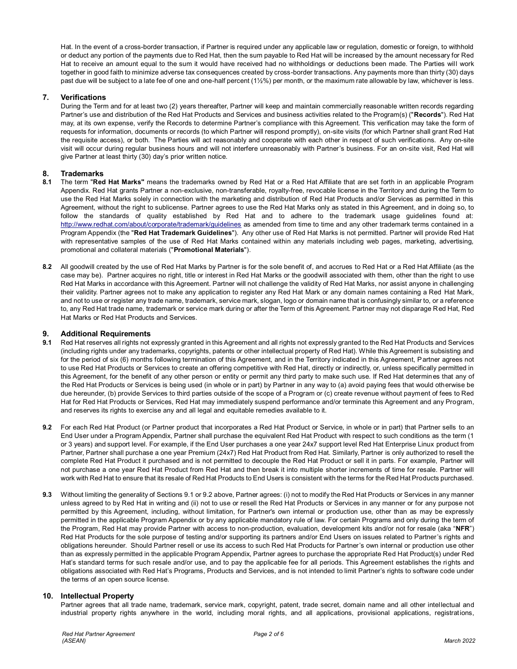Hat. In the event of a cross-border transaction, if Partner is required under any applicable law or regulation, domestic or foreign, to withhold or deduct any portion of the payments due to Red Hat, then the sum payable to Red Hat will be increased by the amount necessary for Red Hat to receive an amount equal to the sum it would have received had no withholdings or deductions been made. The Parties will work together in good faith to minimize adverse tax consequences created by cross-border transactions. Any payments more than thirty (30) days past due will be subject to a late fee of one and one-half percent (1½%) per month, or the maximum rate allowable by law, whichever is less.

### **7. Verifications**

During the Term and for at least two (2) years thereafter, Partner will keep and maintain commercially reasonable written records regarding Partner's use and distribution of the Red Hat Products and Services and business activities related to the Program(s) ("**Records**"). Red Hat may, at its own expense, verify the Records to determine Partner's compliance with this Agreement. This verification may take the form of requests for information, documents or records (to which Partner will respond promptly), on-site visits (for which Partner shall grant Red Hat the requisite access), or both. The Parties will act reasonably and cooperate with each other in respect of such verifications. Any on-site visit will occur during regular business hours and will not interfere unreasonably with Partner's business. For an on-site visit, Red Hat will give Partner at least thirty (30) day's prior written notice.

# **8. Trademarks**

- **8.1** The term "**Red Hat Marks"** means the trademarks owned by Red Hat or a Red Hat Affiliate that are set forth in an applicable Program Appendix. Red Hat grants Partner a non-exclusive, non-transferable, royalty-free, revocable license in the Territory and during the Term to use the Red Hat Marks solely in connection with the marketing and distribution of Red Hat Products and/or Services as permitted in this Agreement, without the right to sublicense. Partner agrees to use the Red Hat Marks only as stated in this Agreement, and in doing so, to follow the standards of quality established by Red Hat and to adhere to the trademark usage guidelines found at: <http://www.redhat.com/about/corporate/trademark/guidelines> as amended from time to time and any other trademark terms contained in a Program Appendix (the "**Red Hat Trademark Guidelines**"). Any other use of Red Hat Marks is not permitted. Partner will provide Red Hat with representative samples of the use of Red Hat Marks contained within any materials including web pages, marketing, advertising, promotional and collateral materials ("**Promotional Materials**").
- **8.2** All goodwill created by the use of Red Hat Marks by Partner is for the sole benefit of, and accrues to Red Hat or a Red Hat Affiliate (as the case may be). Partner acquires no right, title or interest in Red Hat Marks or the goodwill associated with them, other than the right to use Red Hat Marks in accordance with this Agreement. Partner will not challenge the validity of Red Hat Marks, nor assist anyone in challenging their validity. Partner agrees not to make any application to register any Red Hat Mark or any domain names containing a Red Hat Mark, and not to use or register any trade name, trademark, service mark, slogan, logo or domain name that is confusingly similar to, or a reference to, any Red Hat trade name, trademark or service mark during or after the Term of this Agreement. Partner may not disparage Red Hat, Red Hat Marks or Red Hat Products and Services.

#### **9. Additional Requirements**

- **9.1** Red Hat reserves all rights not expressly granted in this Agreement and all rights not expressly granted to the Red Hat Products and Services (including rights under any trademarks, copyrights, patents or other intellectual property of Red Hat). While this Agreement is subsisting and for the period of six (6) months following termination of this Agreement, and in the Territory indicated in this Agreement, Partner agrees not to use Red Hat Products or Services to create an offering competitive with Red Hat, directly or indirectly, or, unless specifically permitted in this Agreement, for the benefit of any other person or entity or permit any third party to make such use. If Red Hat determines that any of the Red Hat Products or Services is being used (in whole or in part) by Partner in any way to (a) avoid paying fees that would otherwise be due hereunder, (b) provide Services to third parties outside of the scope of a Program or (c) create revenue without payment of fees to Red Hat for Red Hat Products or Services, Red Hat may immediately suspend performance and/or terminate this Agreement and any Program, and reserves its rights to exercise any and all legal and equitable remedies available to it.
- **9.2** For each Red Hat Product (or Partner product that incorporates a Red Hat Product or Service, in whole or in part) that Partner sells to an End User under a Program Appendix, Partner shall purchase the equivalent Red Hat Product with respect to such conditions as the term (1 or 3 years) and support level. For example, if the End User purchases a one year 24x7 support level Red Hat Enterprise Linux product from Partner, Partner shall purchase a one year Premium (24x7) Red Hat Product from Red Hat. Similarly, Partner is only authorized to resell the complete Red Hat Product it purchased and is not permitted to decouple the Red Hat Product or sell it in parts. For example, Partner will not purchase a one year Red Hat Product from Red Hat and then break it into multiple shorter increments of time for resale. Partner will work with Red Hat to ensure that its resale of Red Hat Products to End Users is consistent with the terms for the Red Hat Products purchased.
- **9.3** Without limiting the generality of Sections 9.1 or 9.2 above, Partner agrees: (i) not to modify the Red Hat Products or Services in any manner unless agreed to by Red Hat in writing and (ii) not to use or resell the Red Hat Products or Services in any manner or for any purpose not permitted by this Agreement, including, without limitation, for Partner's own internal or production use, other than as may be expressly permitted in the applicable Program Appendix or by any applicable mandatory rule of law. For certain Programs and only during the term of the Program, Red Hat may provide Partner with access to non-production, evaluation, development kits and/or not for resale (aka "**NFR**") Red Hat Products for the sole purpose of testing and/or supporting its partners and/or End Users on issues related to Partner's rights and obligations hereunder. Should Partner resell or use its access to such Red Hat Products for Partner's own internal or production use other than as expressly permitted in the applicable Program Appendix, Partner agrees to purchase the appropriate Red Hat Product(s) under Red Hat's standard terms for such resale and/or use, and to pay the applicable fee for all periods. This Agreement establishes the rights and obligations associated with Red Hat's Programs, Products and Services, and is not intended to limit Partner's rights to software code under the terms of an open source license.

### **10. Intellectual Property**

Partner agrees that all trade name, trademark, service mark, copyright, patent, trade secret, domain name and all other intellectual and industrial property rights anywhere in the world, including moral rights, and all applications, provisional applications, registrations,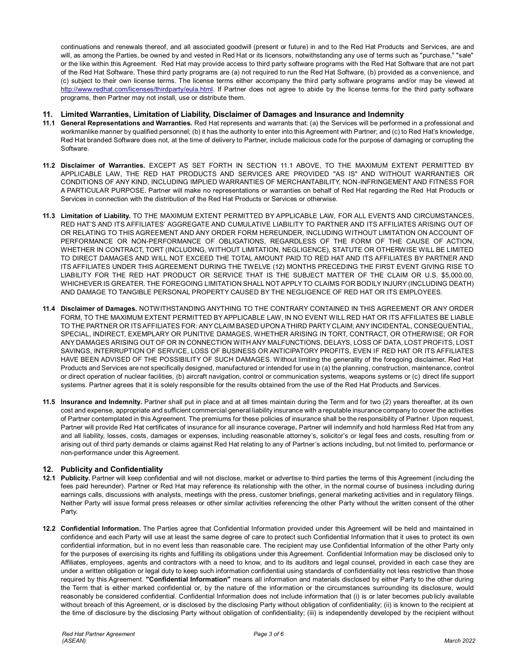continuations and renewals thereof, and all associated goodwill (present or future) in and to the Red Hat Products and Services, are and will, as among the Parties, be owned by and vested in Red Hat or its licensors, notwithstanding any use of terms such as "purchase," "sale" or the like within this Agreement. Red Hat may provide access to third party software programs with the Red Hat Software that are not part of the Red Hat Software. These third party programs are (a) not required to run the Red Hat Software, (b) provided as a convenience, and (c) subject to their own license terms. The license terms either accompany the third party software programs and/or may be viewed at [http://www.redhat.com/licenses/thirdparty/eula.html.](http://www.redhat.com/licenses/thirdparty/eula.html) If Partner does not agree to abide by the license terms for the third party software programs, then Partner may not install, use or distribute them.

### **11. Limited Warranties, Limitation of Liability, Disclaimer of Damages and Insurance and Indemnity**

- **11.1 General Representations and Warranties.** Red Hat represents and warrants that: (a) the Services will be performed in a professional and workmanlike manner by qualified personnel; (b) it has the authority to enter into this Agreement with Partner; and (c) to Red Hat's knowledge, Red Hat branded Software does not, at the time of delivery to Partner, include malicious code for the purpose of damaging or corrupting the Software.
- **11.2 Disclaimer of Warranties.** EXCEPT AS SET FORTH IN SECTION 11.1 ABOVE, TO THE MAXIMUM EXTENT PERMITTED BY APPLICABLE LAW, THE RED HAT PRODUCTS AND SERVICES ARE PROVIDED "AS IS" AND WITHOUT WARRANTIES OR CONDITIONS OF ANY KIND, INCLUDING IMPLIED WARRANTIES OF MERCHANTABILITY, NON-INFRINGEMENT AND FITNESS FOR A PARTICULAR PURPOSE. Partner will make no representations or warranties on behalf of Red Hat regarding the Red Hat Products or Services in connection with the distribution of the Red Hat Products or Services or otherwise.
- **11.3 Limitation of Liability.** TO THE MAXIMUM EXTENT PERMITTED BY APPLICABLE LAW, FOR ALL EVENTS AND CIRCUMSTANCES, RED HAT'S AND ITS AFFILIATES' AGGREGATE AND CUMULATIVE LIABILITY TO PARTNER AND ITS AFFILIATES ARISING OUT OF OR RELATING TO THIS AGREEMENT AND ANY ORDER FORM HEREUNDER, INCLUDING WITHOUT LIMITATION ON ACCOUNT OF PERFORMANCE OR NON-PERFORMANCE OF OBLIGATIONS, REGARDLESS OF THE FORM OF THE CAUSE OF ACTION, WHETHER IN CONTRACT, TORT (INCLUDING, WITHOUT LIMITATION, NEGLIGENCE), STATUTE OR OTHERWISE WILL BE LIMITED TO DIRECT DAMAGES AND WILL NOT EXCEED THE TOTAL AMOUNT PAID TO RED HAT AND ITS AFFILIATES BY PARTNER AND ITS AFFILIATES UNDER THIS AGREEMENT DURING THE TWELVE (12) MONTHS PRECEDING THE FIRST EVENT GIVING RISE TO LIABILITY FOR THE RED HAT PRODUCT OR SERVICE THAT IS THE SUBJECT MATTER OF THE CLAIM OR U.S. \$5,000.00, WHICHEVER IS GREATER. THE FOREGOING LIMITATION SHALL NOT APPLY TO CLAIMS FOR BODILY INJURY (INCLUDING DEATH) AND DAMAGE TO TANGIBLE PERSONAL PROPERTY CAUSED BY THE NEGLIGENCE OF RED HAT OR ITS EMPLOYEES.
- **11.4 Disclaimer of Damages.** NOTWITHSTANDING ANYTHING TO THE CONTRARY CONTAINED IN THIS AGREEMENT OR ANY ORDER FORM, TO THE MAXIMUM EXTENT PERMITTED BY APPLICABLE LAW, IN NO EVENT WILL RED HAT OR ITS AFFILIATES BE LIABLE TO THE PARTNER OR ITS AFFILIATES FOR: ANY CLAIM BASED UPON A THIRD PARTY CLAIM; ANY INCIDENTAL, CONSEQUENTIAL, SPECIAL, INDIRECT, EXEMPLARY OR PUNITIVE DAMAGES, WHETHER ARISING IN TORT, CONTRACT, OR OTHERWISE; OR FOR ANY DAMAGES ARISING OUT OF OR IN CONNECTION WITH ANY MALFUNCTIONS, DELAYS, LOSS OF DATA, LOST PROFITS, LOST SAVINGS, INTERRUPTION OF SERVICE, LOSS OF BUSINESS OR ANTICIPATORY PROFITS, EVEN IF RED HAT OR ITS AFFILIATES HAVE BEEN ADVISED OF THE POSSIBILITY OF SUCH DAMAGES. Without limiting the generality of the foregoing disclaimer, Red Hat Products and Services are not specifically designed, manufactured or intended for use in (a) the planning, construction, maintenance, control or direct operation of nuclear facilities, (b) aircraft navigation, control or communication systems, weapons systems or (c) direct life support systems. Partner agrees that it is solely responsible for the results obtained from the use of the Red Hat Products and Services.
- **11.5 Insurance and Indemnity.** Partner shall put in place and at all times maintain during the Term and for two (2) years thereafter, at its own cost and expense, appropriate and sufficient commercial general liability insurance with a reputable insurance company to cover the activities of Partner contemplated in this Agreement. The premiums for these policies of insurance shall be the responsibility of Partner. Upon request, Partner will provide Red Hat certificates of insurance for all insurance coverage**.** Partner will indemnify and hold harmless Red Hat from any and all liability, losses, costs, damages or expenses, including reasonable attorney's, solicitor's or legal fees and costs, resulting from or arising out of third party demands or claims against Red Hat relating to any of Partner's actions including, but not limited to, performance or non-performance under this Agreement.

# **12. Publicity and Confidentiality**

- **12.1 Publicity.** Partner will keep confidential and will not disclose, market or advertise to third parties the terms of this Agreement (including the fees paid hereunder). Partner or Red Hat may reference its relationship with the other, in the normal course of business including during earnings calls, discussions with analysts, meetings with the press, customer briefings, general marketing activities and in regulatory filings. Neither Party will issue formal press releases or other similar activities referencing the other Party without the written consent of the other Party.
- **12.2 Confidential Information.** The Parties agree that Confidential Information provided under this Agreement will be held and maintained in confidence and each Party will use at least the same degree of care to protect such Confidential Information that it uses to protect its own confidential information, but in no event less than reasonable care. The recipient may use Confidential Information of the other Party only for the purposes of exercising its rights and fulfilling its obligations under this Agreement. Confidential Information may be disclosed only to Affiliates, employees, agents and contractors with a need to know, and to its auditors and legal counsel, provided in each case they are under a written obligation or legal duty to keep such information confidential using standards of confidentiality not less restrictive than those required by this Agreement. **"Confidential Information"** means all information and materials disclosed by either Party to the other during the Term that is either marked confidential or, by the nature of the information or the circumstances surrounding its disclosure, would reasonably be considered confidential. Confidential Information does not include information that (i) is or later becomes publicly available without breach of this Agreement, or is disclosed by the disclosing Party without obligation of confidentiality; (ii) is known to the recipient at the time of disclosure by the disclosing Party without obligation of confidentiality; (iii) is independently developed by the recipient without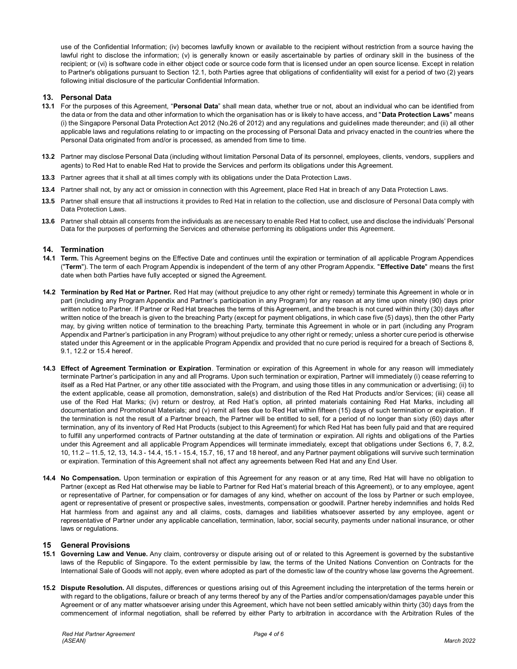use of the Confidential Information; (iv) becomes lawfully known or available to the recipient without restriction from a source having the lawful right to disclose the information; (v) is generally known or easily ascertainable by parties of ordinary skill in the business of the recipient; or (vi) is software code in either object code or source code form that is licensed under an open source license. Except in relation to Partner's obligations pursuant to Section 12.1, both Parties agree that obligations of confidentiality will exist for a period of two (2) years following initial disclosure of the particular Confidential Information.

### **13. Personal Data**

- **13.1** For the purposes of this Agreement, "**Personal Data**" shall mean data, whether true or not, about an individual who can be identified from the data or from the data and other information to which the organisation has or is likely to have access, and "**Data Protection Laws**" means (i) the Singapore Personal Data Protection Act 2012 (No.26 of 2012) and any regulations and guidelines made thereunder; and (ii) all other applicable laws and regulations relating to or impacting on the processing of Personal Data and privacy enacted in the countries where the Personal Data originated from and/or is processed, as amended from time to time.
- **13.2** Partner may disclose Personal Data (including without limitation Personal Data of its personnel, employees, clients, vendors, suppliers and agents) to Red Hat to enable Red Hat to provide the Services and perform its obligations under this Agreement.
- **13.3** Partner agrees that it shall at all times comply with its obligations under the Data Protection Laws.
- **13.4** Partner shall not, by any act or omission in connection with this Agreement, place Red Hat in breach of any Data Protection Laws.
- **13.5** Partner shall ensure that all instructions it provides to Red Hat in relation to the collection, use and disclosure of Personal Data comply with Data Protection Laws.
- **13.6** Partner shall obtain all consents from the individuals as are necessary to enable Red Hat to collect, use and disclose the individuals' Personal Data for the purposes of performing the Services and otherwise performing its obligations under this Agreement.

### **14. Termination**

- **14.1 Term.** This Agreement begins on the Effective Date and continues until the expiration or termination of all applicable Program Appendices ("**Term**"). The term of each Program Appendix is independent of the term of any other Program Appendix. "**Effective Date**" means the first date when both Parties have fully accepted or signed the Agreement.
- **14.2 Termination by Red Hat or Partner.** Red Hat may (without prejudice to any other right or remedy) terminate this Agreement in whole or in part (including any Program Appendix and Partner's participation in any Program) for any reason at any time upon ninety (90) days prior written notice to Partner. If Partner or Red Hat breaches the terms of this Agreement, and the breach is not cured within thirty (30) days after written notice of the breach is given to the breaching Party (except for payment obligations, in which case five (5) days), then the other Party may, by giving written notice of termination to the breaching Party, terminate this Agreement in whole or in part (including any Program Appendix and Partner's participation in any Program) without prejudice to any other right or remedy; unless a shorter cure period is otherwise stated under this Agreement or in the applicable Program Appendix and provided that no cure period is required for a breach of Sections 8, 9.1, 12.2 or 15.4 hereof.
- **14.3 Effect of Agreement Termination or Expiration**. Termination or expiration of this Agreement in whole for any reason will immediately terminate Partner's participation in any and all Programs. Upon such termination or expiration, Partner will immediately (i) cease referring to itself as a Red Hat Partner, or any other title associated with the Program, and using those titles in any communication or advertising; (ii) to the extent applicable, cease all promotion, demonstration, sale(s) and distribution of the Red Hat Products and/or Services; (iii) cease all use of the Red Hat Marks; (iv) return or destroy, at Red Hat's option, all printed materials containing Red Hat Marks, including all documentation and Promotional Materials; and (v) remit all fees due to Red Hat within fifteen (15) days of such termination or expiration. If the termination is not the result of a Partner breach, the Partner will be entitled to sell, for a period of no longer than sixty (60) days after termination, any of its inventory of Red Hat Products (subject to this Agreement) for which Red Hat has been fully paid and that are required to fulfill any unperformed contracts of Partner outstanding at the date of termination or expiration. All rights and obligations of the Parties under this Agreement and all applicable Program Appendices will terminate immediately, except that obligations under Sections 6, 7, 8.2, 10, 11.2 – 11.5, 12, 13, 14.3 - 14.4, 15.1 - 15.4, 15.7, 16, 17 and 18 hereof, and any Partner payment obligations will survive such termination or expiration. Termination of this Agreement shall not affect any agreements between Red Hat and any End User.
- **14.4 No Compensation.** Upon termination or expiration of this Agreement for any reason or at any time, Red Hat will have no obligation to Partner (except as Red Hat otherwise may be liable to Partner for Red Hat's material breach of this Agreement), or to any employee, agent or representative of Partner, for compensation or for damages of any kind, whether on account of the loss by Partner or such employee, agent or representative of present or prospective sales, investments, compensation or goodwill. Partner hereby indemnifies and holds Red Hat harmless from and against any and all claims, costs, damages and liabilities whatsoever asserted by any employee, agent or representative of Partner under any applicable cancellation, termination, labor, social security, payments under national insurance, or other laws or regulations.

### **15 General Provisions**

- **15.1 Governing Law and Venue.** Any claim, controversy or dispute arising out of or related to this Agreement is governed by the substantive laws of the Republic of Singapore. To the extent permissible by law, the terms of the United Nations Convention on Contracts for the International Sale of Goods will not apply, even where adopted as part of the domestic law of the country whose law governs the Agreement.
- **15.2 Dispute Resolution.** All disputes, differences or questions arising out of this Agreement including the interpretation of the terms herein or with regard to the obligations, failure or breach of any terms thereof by any of the Parties and/or compensation/damages payable under this Agreement or of any matter whatsoever arising under this Agreement, which have not been settled amicably within thirty (30) days from the commencement of informal negotiation, shall be referred by either Party to arbitration in accordance with the Arbitration Rules of the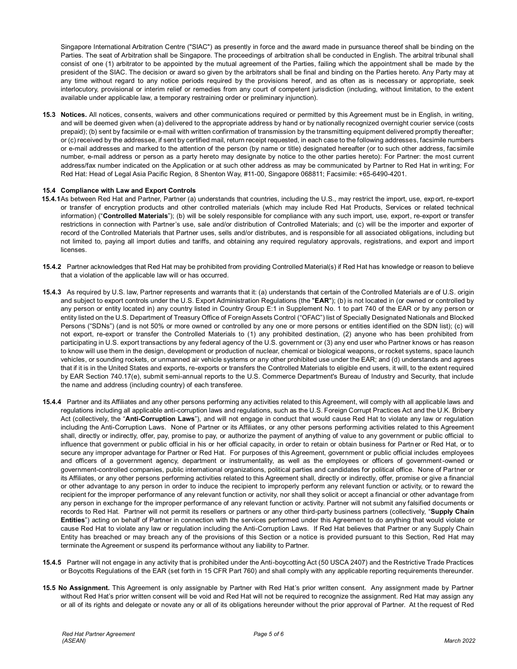Singapore International Arbitration Centre ("SIAC") as presently in force and the award made in pursuance thereof shall be binding on the Parties. The seat of Arbitration shall be Singapore. The proceedings of arbitration shall be conducted in English. The arbitral tribunal shall consist of one (1) arbitrator to be appointed by the mutual agreement of the Parties, failing which the appointment shall be made by the president of the SIAC. The decision or award so given by the arbitrators shall be final and binding on the Parties hereto. Any Party may at any time without regard to any notice periods required by the provisions hereof, and as often as is necessary or appropriate, seek interlocutory, provisional or interim relief or remedies from any court of competent jurisdiction (including, without limitation, to the extent available under applicable law, a temporary restraining order or preliminary injunction).

**15.3 Notices.** All notices, consents, waivers and other communications required or permitted by this Agreement must be in English, in writing, and will be deemed given when (a) delivered to the appropriate address by hand or by nationally recognized overnight courier service (costs prepaid); (b) sent by facsimile or e-mail with written confirmation of transmission by the transmitting equipment delivered promptly thereafter; or (c) received by the addressee, if sent by certified mail, return receipt requested, in each case to the following addresses, facsimile numbers or e-mail addresses and marked to the attention of the person (by name or title) designated hereafter (or to such other address, facsimile number, e-mail address or person as a party hereto may designate by notice to the other parties hereto): For Partner: the most current address/fax number indicated on the Application or at such other address as may be communicated by Partner to Red Hat in writ ing; For Red Hat: Head of Legal Asia Pacific Region, 8 Shenton Way, #11-00, Singapore 068811; Facsimile: +65-6490-4201.

### **15.4 Compliance with Law and Export Controls**

- **15.4.1**As between Red Hat and Partner, Partner (a) understands that countries, including the U.S., may restrict the import, use, export, re-export or transfer of encryption products and other controlled materials (which may include Red Hat Products, Services or related technical information) ("**Controlled Materials**"); (b) will be solely responsible for compliance with any such import, use, export, re-export or transfer restrictions in connection with Partner's use, sale and/or distribution of Controlled Materials; and (c) will be the importer and exporter of record of the Controlled Materials that Partner uses, sells and/or distributes, and is responsible for all associated obligations, including but not limited to, paying all import duties and tariffs, and obtaining any required regulatory approvals, registrations, and export and import **licenses**
- **15.4.2** Partner acknowledges that Red Hat may be prohibited from providing Controlled Material(s) if Red Hat has knowledge or reason to believe that a violation of the applicable law will or has occurred.
- **15.4.3** As required by U.S. law, Partner represents and warrants that it: (a) understands that certain of the Controlled Materials are of U.S. origin and subject to export controls under the U.S. Export Administration Regulations (the "**EAR**"); (b) is not located in (or owned or controlled by any person or entity located in) any country listed in Country Group E:1 in Supplement No. 1 to part 740 of the EAR or by any person or entity listed on the U.S. Department of Treasury Office of Foreign Assets Control ("OFAC") list of Specially Designated Nationals and Blocked Persons ("SDNs") (and is not 50% or more owned or controlled by any one or more persons or entities identified on the SDN list); (c) will not export, re-export or transfer the Controlled Materials to (1) any prohibited destination, (2) anyone who has been prohibited from participating in U.S. export transactions by any federal agency of the U.S. government or (3) any end user who Partner knows or has reason to know will use them in the design, development or production of nuclear, chemical or biological weapons, or rocket systems, space launch vehicles, or sounding rockets, or unmanned air vehicle systems or any other prohibited use under the EAR; and (d) understands and agrees that if it is in the United States and exports, re-exports or transfers the Controlled Materials to eligible end users, it will, to the extent required by EAR Section 740.17(e), submit semi-annual reports to the U.S. Commerce Department's Bureau of Industry and Security, that include the name and address (including country) of each transferee.
- **15.4.4** Partner and its Affiliates and any other persons performing any activities related to this Agreement, will comply with all applicable laws and regulations including all applicable anti-corruption laws and regulations, such as the U.S. Foreign Corrupt Practices Act and the U.K. Bribery Act (collectively, the "**Anti-Corruption Laws**"), and will not engage in conduct that would cause Red Hat to violate any law or regulation including the Anti-Corruption Laws. None of Partner or its Affiliates, or any other persons performing activities related to this Agreement shall, directly or indirectly, offer, pay, promise to pay, or authorize the payment of anything of value to any government or public official to influence that government or public official in his or her official capacity, in order to retain or obtain business for Partner or Red Hat, or to secure any improper advantage for Partner or Red Hat. For purposes of this Agreement, government or public official includes employees and officers of a government agency, department or instrumentality, as well as the employees or officers of government-owned or government-controlled companies, public international organizations, political parties and candidates for political office. None of Partner or its Affiliates, or any other persons performing activities related to this Agreement shall, directly or indirectly, offer, promise or give a financial or other advantage to any person in order to induce the recipient to improperly perform any relevant function or activity, or to reward the recipient for the improper performance of any relevant function or activity, nor shall they solicit or accept a financial or other advantage from any person in exchange for the improper performance of any relevant function or activity. Partner will not submit any falsified documents or records to Red Hat. Partner will not permit its resellers or partners or any other third-party business partners (collectively, "**Supply Chain Entities**") acting on behalf of Partner in connection with the services performed under this Agreement to do anything that would violate or cause Red Hat to violate any law or regulation including the Anti-Corruption Laws. If Red Hat believes that Partner or any Supply Chain Entity has breached or may breach any of the provisions of this Section or a notice is provided pursuant to this Section, Red Hat may terminate the Agreement or suspend its performance without any liability to Partner.
- **15.4.5** Partner will not engage in any activity that is prohibited under the Anti-boycotting Act (50 USCA 2407) and the Restrictive Trade Practices or Boycotts Regulations of the EAR (set forth in 15 CFR Part 760) and shall comply with any applicable reporting requirements thereunder.
- **15.5 No Assignment.** This Agreement is only assignable by Partner with Red Hat's prior written consent. Any assignment made by Partner without Red Hat's prior written consent will be void and Red Hat will not be required to recognize the assignment. Red Hat may assign any or all of its rights and delegate or novate any or all of its obligations hereunder without the prior approval of Partner. At the request of Red